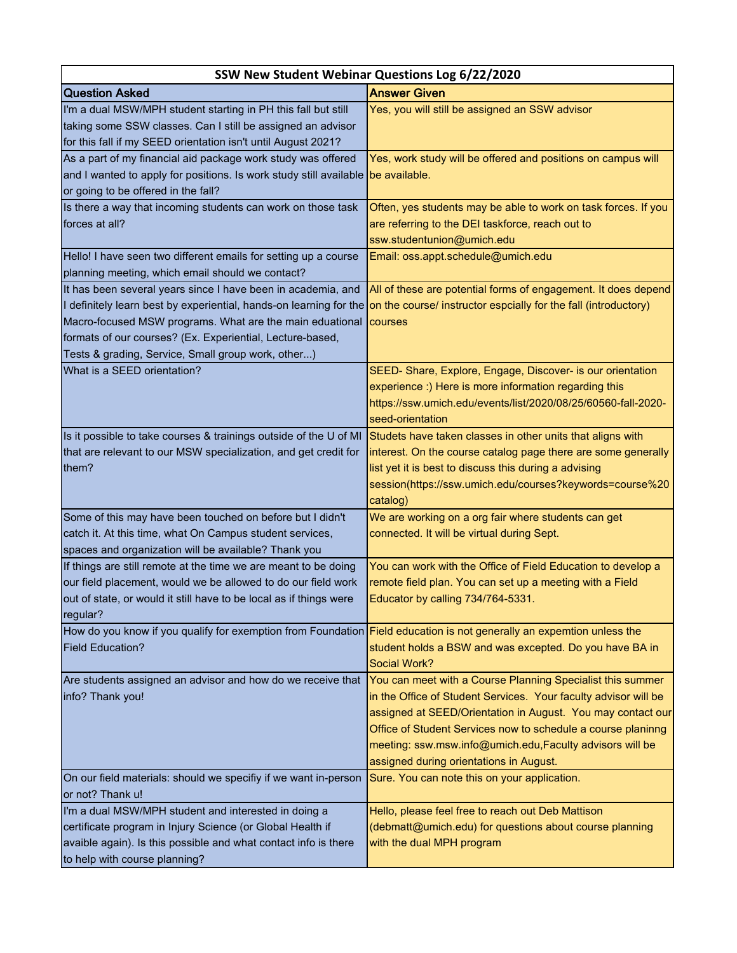| SSW New Student Webinar Questions Log 6/22/2020                                                                                    |                                                                 |
|------------------------------------------------------------------------------------------------------------------------------------|-----------------------------------------------------------------|
| <b>Question Asked</b>                                                                                                              | <b>Answer Given</b>                                             |
| I'm a dual MSW/MPH student starting in PH this fall but still                                                                      | Yes, you will still be assigned an SSW advisor                  |
| taking some SSW classes. Can I still be assigned an advisor                                                                        |                                                                 |
| for this fall if my SEED orientation isn't until August 2021?                                                                      |                                                                 |
| As a part of my financial aid package work study was offered                                                                       | Yes, work study will be offered and positions on campus will    |
| and I wanted to apply for positions. Is work study still available                                                                 | be available.                                                   |
| or going to be offered in the fall?                                                                                                |                                                                 |
| Is there a way that incoming students can work on those task                                                                       | Often, yes students may be able to work on task forces. If you  |
| forces at all?                                                                                                                     | are referring to the DEI taskforce, reach out to                |
|                                                                                                                                    | ssw.studentunion@umich.edu                                      |
| Hello! I have seen two different emails for setting up a course                                                                    | Email: oss.appt.schedule@umich.edu                              |
| planning meeting, which email should we contact?                                                                                   |                                                                 |
| It has been several years since I have been in academia, and                                                                       | All of these are potential forms of engagement. It does depend  |
| I definitely learn best by experiential, hands-on learning for the on the course/ instructor espcially for the fall (introductory) |                                                                 |
| Macro-focused MSW programs. What are the main eduational                                                                           | <b>I</b> courses                                                |
| formats of our courses? (Ex. Experiential, Lecture-based,                                                                          |                                                                 |
| Tests & grading, Service, Small group work, other)                                                                                 |                                                                 |
| What is a SEED orientation?                                                                                                        | SEED- Share, Explore, Engage, Discover- is our orientation      |
|                                                                                                                                    | experience :) Here is more information regarding this           |
|                                                                                                                                    | https://ssw.umich.edu/events/list/2020/08/25/60560-fall-2020-   |
|                                                                                                                                    | seed-orientation                                                |
| Is it possible to take courses & trainings outside of the U of MI                                                                  | Studets have taken classes in other units that aligns with      |
| that are relevant to our MSW specialization, and get credit for                                                                    | interest. On the course catalog page there are some generally   |
| them?                                                                                                                              | list yet it is best to discuss this during a advising           |
|                                                                                                                                    | session(https://ssw.umich.edu/courses?keywords=course%20        |
|                                                                                                                                    | catalog)                                                        |
| Some of this may have been touched on before but I didn't                                                                          | We are working on a org fair where students can get             |
| catch it. At this time, what On Campus student services,                                                                           | connected. It will be virtual during Sept.                      |
| spaces and organization will be available? Thank you                                                                               |                                                                 |
| If things are still remote at the time we are meant to be doing                                                                    | You can work with the Office of Field Education to develop a    |
| our field placement, would we be allowed to do our field work                                                                      | remote field plan. You can set up a meeting with a Field        |
| out of state, or would it still have to be local as if things were                                                                 | Educator by calling 734/764-5331.                               |
| regular?                                                                                                                           |                                                                 |
| How do you know if you qualify for exemption from Foundation Field education is not generally an expemtion unless the              |                                                                 |
| <b>Field Education?</b>                                                                                                            | student holds a BSW and was excepted. Do you have BA in         |
|                                                                                                                                    | Social Work?                                                    |
| Are students assigned an advisor and how do we receive that                                                                        | You can meet with a Course Planning Specialist this summer      |
| info? Thank you!                                                                                                                   | in the Office of Student Services. Your faculty advisor will be |
|                                                                                                                                    | assigned at SEED/Orientation in August. You may contact our     |
|                                                                                                                                    | Office of Student Services now to schedule a course planinng    |
|                                                                                                                                    | meeting: ssw.msw.info@umich.edu,Faculty advisors will be        |
|                                                                                                                                    | assigned during orientations in August.                         |
| On our field materials: should we specifiy if we want in-person                                                                    | Sure. You can note this on your application.                    |
| or not? Thank u!                                                                                                                   |                                                                 |
| I'm a dual MSW/MPH student and interested in doing a                                                                               | Hello, please feel free to reach out Deb Mattison               |
| certificate program in Injury Science (or Global Health if                                                                         | (debmatt@umich.edu) for questions about course planning         |
| avaible again). Is this possible and what contact info is there                                                                    | with the dual MPH program                                       |
| to help with course planning?                                                                                                      |                                                                 |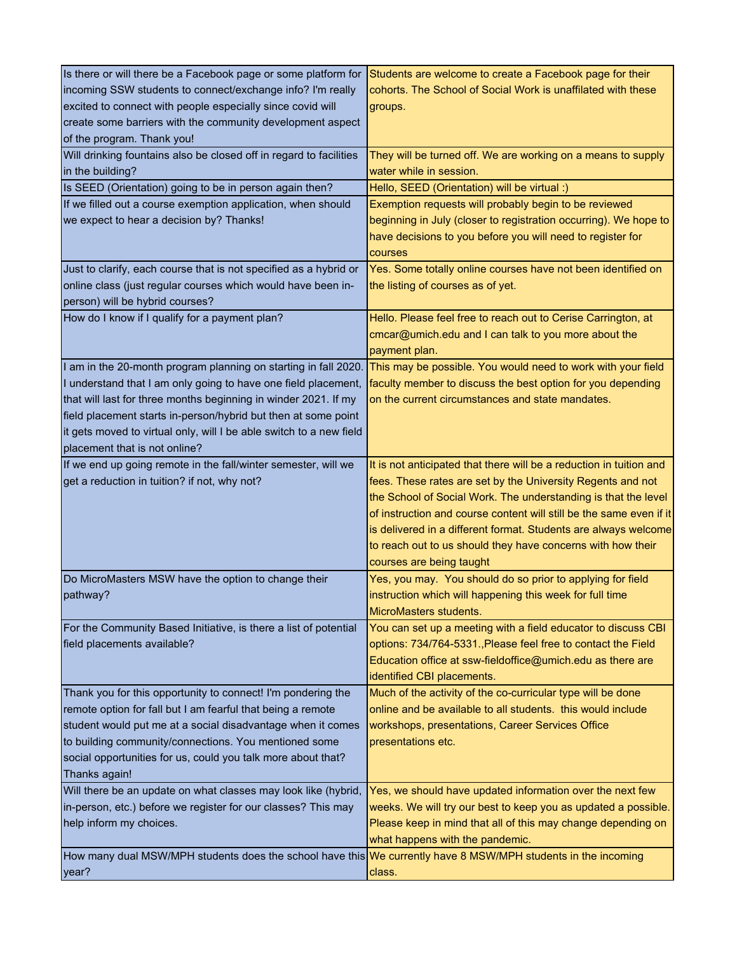| Is there or will there be a Facebook page or some platform for<br>incoming SSW students to connect/exchange info? I'm really<br>excited to connect with people especially since covid will<br>create some barriers with the community development aspect<br>of the program. Thank you! | Students are welcome to create a Facebook page for their<br>cohorts. The School of Social Work is unaffilated with these<br>groups.                                                                                                                                                                                                                                                                                                       |
|----------------------------------------------------------------------------------------------------------------------------------------------------------------------------------------------------------------------------------------------------------------------------------------|-------------------------------------------------------------------------------------------------------------------------------------------------------------------------------------------------------------------------------------------------------------------------------------------------------------------------------------------------------------------------------------------------------------------------------------------|
| Will drinking fountains also be closed off in regard to facilities<br>in the building?                                                                                                                                                                                                 | They will be turned off. We are working on a means to supply<br>water while in session.                                                                                                                                                                                                                                                                                                                                                   |
| Is SEED (Orientation) going to be in person again then?                                                                                                                                                                                                                                | Hello, SEED (Orientation) will be virtual :)                                                                                                                                                                                                                                                                                                                                                                                              |
| If we filled out a course exemption application, when should<br>we expect to hear a decision by? Thanks!                                                                                                                                                                               | Exemption requests will probably begin to be reviewed<br>beginning in July (closer to registration occurring). We hope to<br>have decisions to you before you will need to register for<br>courses                                                                                                                                                                                                                                        |
| Just to clarify, each course that is not specified as a hybrid or                                                                                                                                                                                                                      | Yes. Some totally online courses have not been identified on                                                                                                                                                                                                                                                                                                                                                                              |
| online class (just regular courses which would have been in-                                                                                                                                                                                                                           | the listing of courses as of yet.                                                                                                                                                                                                                                                                                                                                                                                                         |
| person) will be hybrid courses?                                                                                                                                                                                                                                                        |                                                                                                                                                                                                                                                                                                                                                                                                                                           |
| How do I know if I qualify for a payment plan?                                                                                                                                                                                                                                         | Hello. Please feel free to reach out to Cerise Carrington, at<br>cmcar@umich.edu and I can talk to you more about the<br>payment plan.                                                                                                                                                                                                                                                                                                    |
| I am in the 20-month program planning on starting in fall 2020.                                                                                                                                                                                                                        | This may be possible. You would need to work with your field                                                                                                                                                                                                                                                                                                                                                                              |
| I understand that I am only going to have one field placement,                                                                                                                                                                                                                         | faculty member to discuss the best option for you depending                                                                                                                                                                                                                                                                                                                                                                               |
| that will last for three months beginning in winder 2021. If my                                                                                                                                                                                                                        | on the current circumstances and state mandates.                                                                                                                                                                                                                                                                                                                                                                                          |
| field placement starts in-person/hybrid but then at some point                                                                                                                                                                                                                         |                                                                                                                                                                                                                                                                                                                                                                                                                                           |
| it gets moved to virtual only, will I be able switch to a new field                                                                                                                                                                                                                    |                                                                                                                                                                                                                                                                                                                                                                                                                                           |
| placement that is not online?                                                                                                                                                                                                                                                          |                                                                                                                                                                                                                                                                                                                                                                                                                                           |
| If we end up going remote in the fall/winter semester, will we<br>get a reduction in tuition? if not, why not?                                                                                                                                                                         | It is not anticipated that there will be a reduction in tuition and<br>fees. These rates are set by the University Regents and not<br>the School of Social Work. The understanding is that the level<br>of instruction and course content will still be the same even if it<br>is delivered in a different format. Students are always welcome<br>to reach out to us should they have concerns with how their<br>courses are being taught |
| Do MicroMasters MSW have the option to change their<br>pathway?                                                                                                                                                                                                                        | Yes, you may. You should do so prior to applying for field<br>instruction which will happening this week for full time<br>MicroMasters students.                                                                                                                                                                                                                                                                                          |
| For the Community Based Initiative, is there a list of potential<br>field placements available?                                                                                                                                                                                        | You can set up a meeting with a field educator to discuss CBI<br>options: 734/764-5331., Please feel free to contact the Field<br>Education office at ssw-fieldoffice@umich.edu as there are<br>identified CBI placements.                                                                                                                                                                                                                |
| Thank you for this opportunity to connect! I'm pondering the                                                                                                                                                                                                                           | Much of the activity of the co-curricular type will be done                                                                                                                                                                                                                                                                                                                                                                               |
| remote option for fall but I am fearful that being a remote                                                                                                                                                                                                                            | online and be available to all students. this would include                                                                                                                                                                                                                                                                                                                                                                               |
| student would put me at a social disadvantage when it comes                                                                                                                                                                                                                            | workshops, presentations, Career Services Office                                                                                                                                                                                                                                                                                                                                                                                          |
| to building community/connections. You mentioned some                                                                                                                                                                                                                                  | presentations etc.                                                                                                                                                                                                                                                                                                                                                                                                                        |
| social opportunities for us, could you talk more about that?                                                                                                                                                                                                                           |                                                                                                                                                                                                                                                                                                                                                                                                                                           |
| Thanks again!                                                                                                                                                                                                                                                                          |                                                                                                                                                                                                                                                                                                                                                                                                                                           |
| Will there be an update on what classes may look like (hybrid,                                                                                                                                                                                                                         | Yes, we should have updated information over the next few                                                                                                                                                                                                                                                                                                                                                                                 |
| in-person, etc.) before we register for our classes? This may                                                                                                                                                                                                                          | weeks. We will try our best to keep you as updated a possible.                                                                                                                                                                                                                                                                                                                                                                            |
| help inform my choices.                                                                                                                                                                                                                                                                | Please keep in mind that all of this may change depending on                                                                                                                                                                                                                                                                                                                                                                              |
| How many dual MSW/MPH students does the school have this We currently have 8 MSW/MPH students in the incoming                                                                                                                                                                          | what happens with the pandemic.                                                                                                                                                                                                                                                                                                                                                                                                           |
|                                                                                                                                                                                                                                                                                        |                                                                                                                                                                                                                                                                                                                                                                                                                                           |
| year?                                                                                                                                                                                                                                                                                  | class.                                                                                                                                                                                                                                                                                                                                                                                                                                    |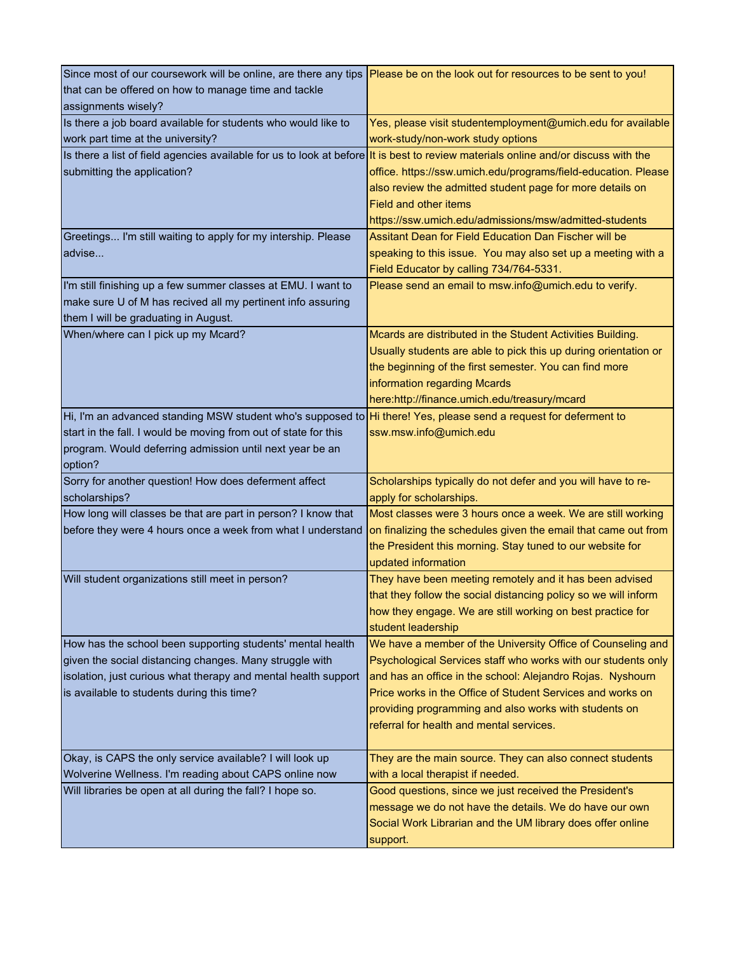| Since most of our coursework will be online, are there any tips Please be on the look out for resources to be sent to you!         |                                                                                                                          |
|------------------------------------------------------------------------------------------------------------------------------------|--------------------------------------------------------------------------------------------------------------------------|
| that can be offered on how to manage time and tackle                                                                               |                                                                                                                          |
| assignments wisely?                                                                                                                |                                                                                                                          |
| Is there a job board available for students who would like to                                                                      | Yes, please visit studentemployment@umich.edu for available                                                              |
| work part time at the university?                                                                                                  | work-study/non-work study options                                                                                        |
| Is there a list of field agencies available for us to look at before it is best to review materials online and/or discuss with the |                                                                                                                          |
| submitting the application?                                                                                                        | office. https://ssw.umich.edu/programs/field-education. Please                                                           |
|                                                                                                                                    | also review the admitted student page for more details on                                                                |
|                                                                                                                                    | <b>Field and other items</b>                                                                                             |
|                                                                                                                                    | https://ssw.umich.edu/admissions/msw/admitted-students                                                                   |
| Greetings I'm still waiting to apply for my intership. Please                                                                      | Assitant Dean for Field Education Dan Fischer will be                                                                    |
| advise                                                                                                                             | speaking to this issue. You may also set up a meeting with a                                                             |
|                                                                                                                                    | Field Educator by calling 734/764-5331.                                                                                  |
| I'm still finishing up a few summer classes at EMU. I want to                                                                      | Please send an email to msw.info@umich.edu to verify.                                                                    |
| make sure U of M has recived all my pertinent info assuring                                                                        |                                                                                                                          |
| them I will be graduating in August.                                                                                               |                                                                                                                          |
| When/where can I pick up my Mcard?                                                                                                 | Mcards are distributed in the Student Activities Building.                                                               |
|                                                                                                                                    | Usually students are able to pick this up during orientation or                                                          |
|                                                                                                                                    | the beginning of the first semester. You can find more                                                                   |
|                                                                                                                                    | information regarding Mcards                                                                                             |
|                                                                                                                                    | here:http://finance.umich.edu/treasury/mcard                                                                             |
| Hi, I'm an advanced standing MSW student who's supposed to Hi there! Yes, please send a request for deferment to                   |                                                                                                                          |
| start in the fall. I would be moving from out of state for this                                                                    | ssw.msw.info@umich.edu                                                                                                   |
| program. Would deferring admission until next year be an                                                                           |                                                                                                                          |
| option?                                                                                                                            |                                                                                                                          |
| Sorry for another question! How does deferment affect                                                                              | Scholarships typically do not defer and you will have to re-                                                             |
| scholarships?                                                                                                                      | apply for scholarships.                                                                                                  |
| How long will classes be that are part in person? I know that                                                                      | Most classes were 3 hours once a week. We are still working                                                              |
| before they were 4 hours once a week from what I understand                                                                        | on finalizing the schedules given the email that came out from                                                           |
|                                                                                                                                    | the President this morning. Stay tuned to our website for                                                                |
|                                                                                                                                    | updated information                                                                                                      |
| Will student organizations still meet in person?                                                                                   | They have been meeting remotely and it has been advised                                                                  |
|                                                                                                                                    | that they follow the social distancing policy so we will inform                                                          |
|                                                                                                                                    | how they engage. We are still working on best practice for                                                               |
|                                                                                                                                    | student leadership                                                                                                       |
| How has the school been supporting students' mental health                                                                         | We have a member of the University Office of Counseling and                                                              |
| given the social distancing changes. Many struggle with                                                                            | Psychological Services staff who works with our students only                                                            |
| isolation, just curious what therapy and mental health support                                                                     | and has an office in the school: Alejandro Rojas. Nyshourn<br>Price works in the Office of Student Services and works on |
| is available to students during this time?                                                                                         | providing programming and also works with students on                                                                    |
|                                                                                                                                    | referral for health and mental services.                                                                                 |
|                                                                                                                                    |                                                                                                                          |
| Okay, is CAPS the only service available? I will look up                                                                           | They are the main source. They can also connect students                                                                 |
| Wolverine Wellness. I'm reading about CAPS online now                                                                              | with a local therapist if needed.                                                                                        |
| Will libraries be open at all during the fall? I hope so.                                                                          | Good questions, since we just received the President's                                                                   |
|                                                                                                                                    | message we do not have the details. We do have our own                                                                   |
|                                                                                                                                    | Social Work Librarian and the UM library does offer online                                                               |
|                                                                                                                                    | support.                                                                                                                 |
|                                                                                                                                    |                                                                                                                          |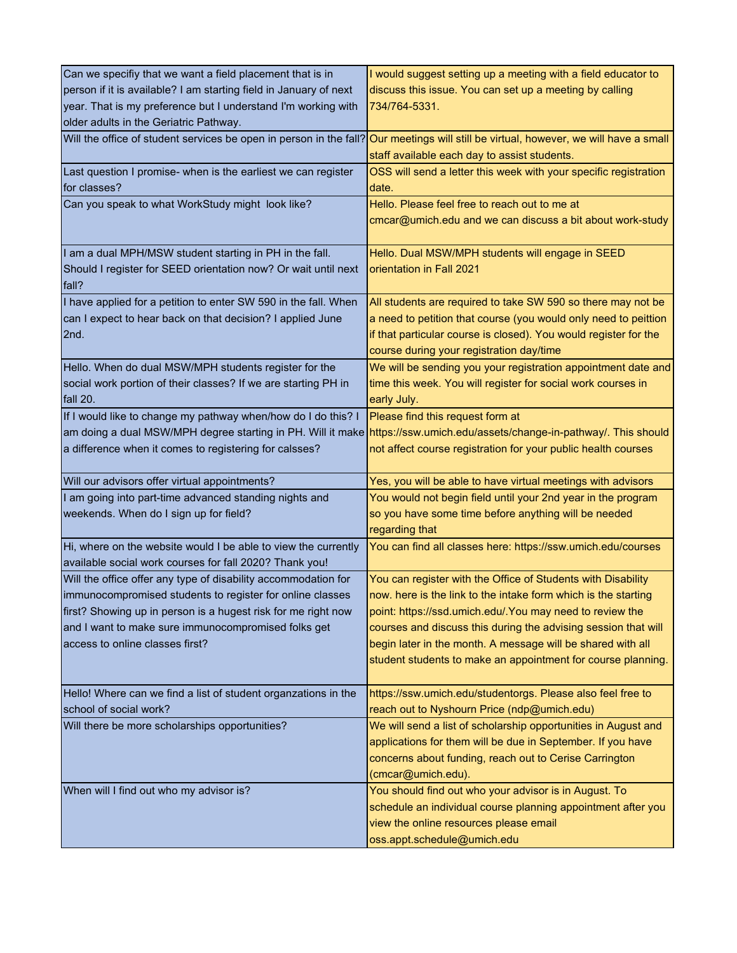| Can we specifiy that we want a field placement that is in         | I would suggest setting up a meeting with a field educator to                                                                        |
|-------------------------------------------------------------------|--------------------------------------------------------------------------------------------------------------------------------------|
| person if it is available? I am starting field in January of next | discuss this issue. You can set up a meeting by calling                                                                              |
| year. That is my preference but I understand I'm working with     | 734/764-5331.                                                                                                                        |
| older adults in the Geriatric Pathway.                            |                                                                                                                                      |
|                                                                   | Will the office of student services be open in person in the fall? Our meetings will still be virtual, however, we will have a small |
|                                                                   | staff available each day to assist students.                                                                                         |
| Last question I promise- when is the earliest we can register     | OSS will send a letter this week with your specific registration                                                                     |
| for classes?                                                      | date.                                                                                                                                |
| Can you speak to what WorkStudy might look like?                  | Hello. Please feel free to reach out to me at                                                                                        |
|                                                                   | cmcar@umich.edu and we can discuss a bit about work-study                                                                            |
|                                                                   |                                                                                                                                      |
| I am a dual MPH/MSW student starting in PH in the fall.           | Hello. Dual MSW/MPH students will engage in SEED                                                                                     |
| Should I register for SEED orientation now? Or wait until next    | orientation in Fall 2021                                                                                                             |
| fall?                                                             |                                                                                                                                      |
| I have applied for a petition to enter SW 590 in the fall. When   | All students are required to take SW 590 so there may not be                                                                         |
| can I expect to hear back on that decision? I applied June        | a need to petition that course (you would only need to peittion                                                                      |
| 2nd.                                                              | if that particular course is closed). You would register for the                                                                     |
|                                                                   | course during your registration day/time                                                                                             |
| Hello. When do dual MSW/MPH students register for the             | We will be sending you your registration appointment date and                                                                        |
| social work portion of their classes? If we are starting PH in    | time this week. You will register for social work courses in                                                                         |
| fall 20.                                                          | early July.                                                                                                                          |
| If I would like to change my pathway when/how do I do this? I     | Please find this request form at                                                                                                     |
|                                                                   | am doing a dual MSW/MPH degree starting in PH. Will it make https://ssw.umich.edu/assets/change-in-pathway/. This should             |
| a difference when it comes to registering for calsses?            | not affect course registration for your public health courses                                                                        |
|                                                                   |                                                                                                                                      |
| Will our advisors offer virtual appointments?                     | Yes, you will be able to have virtual meetings with advisors                                                                         |
| I am going into part-time advanced standing nights and            | You would not begin field until your 2nd year in the program                                                                         |
| weekends. When do I sign up for field?                            | so you have some time before anything will be needed                                                                                 |
|                                                                   | regarding that                                                                                                                       |
| Hi, where on the website would I be able to view the currently    | You can find all classes here: https://ssw.umich.edu/courses                                                                         |
| available social work courses for fall 2020? Thank you!           |                                                                                                                                      |
| Will the office offer any type of disability accommodation for    | You can register with the Office of Students with Disability                                                                         |
| immunocompromised students to register for online classes         | now. here is the link to the intake form which is the starting                                                                       |
| first? Showing up in person is a hugest risk for me right now     | point: https://ssd.umich.edu/.You may need to review the                                                                             |
| and I want to make sure immunocompromised folks get               | courses and discuss this during the advising session that will                                                                       |
| access to online classes first?                                   | begin later in the month. A message will be shared with all                                                                          |
|                                                                   | student students to make an appointment for course planning.                                                                         |
|                                                                   |                                                                                                                                      |
| Hello! Where can we find a list of student organzations in the    | https://ssw.umich.edu/studentorgs. Please also feel free to                                                                          |
| school of social work?                                            | reach out to Nyshourn Price (ndp@umich.edu)                                                                                          |
| Will there be more scholarships opportunities?                    | We will send a list of scholarship opportunities in August and                                                                       |
|                                                                   | applications for them will be due in September. If you have                                                                          |
|                                                                   | concerns about funding, reach out to Cerise Carrington                                                                               |
|                                                                   | (cmcar@umich.edu).                                                                                                                   |
| When will I find out who my advisor is?                           | You should find out who your advisor is in August. To                                                                                |
|                                                                   | schedule an individual course planning appointment after you                                                                         |
|                                                                   | view the online resources please email                                                                                               |
|                                                                   | oss.appt.schedule@umich.edu                                                                                                          |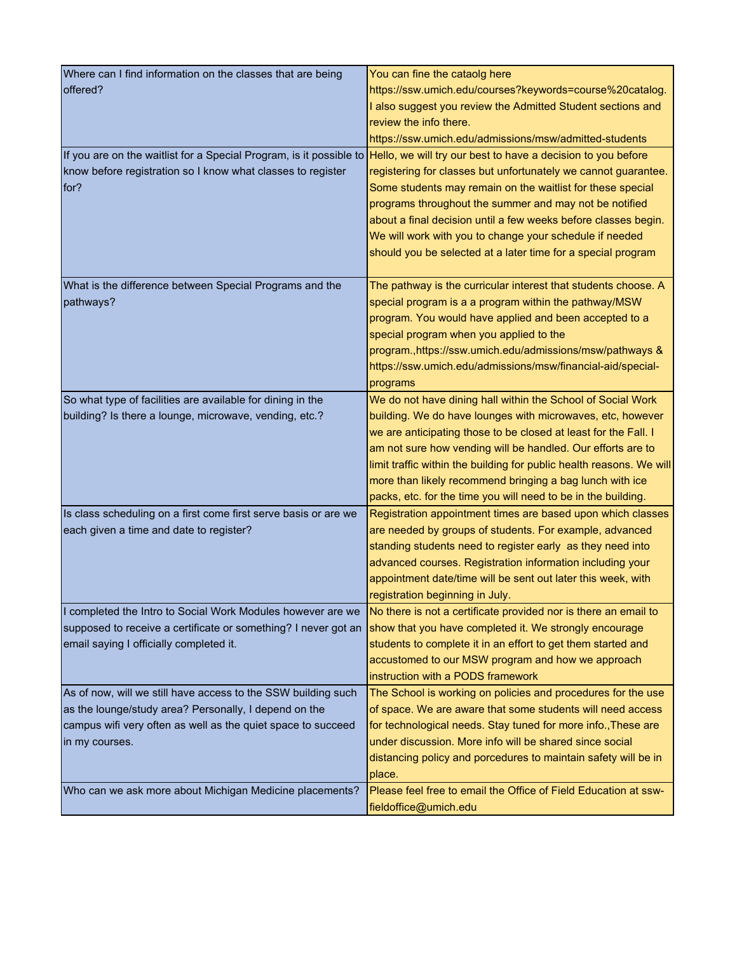| Where can I find information on the classes that are being                                                                       | You can fine the cataolg here                                        |
|----------------------------------------------------------------------------------------------------------------------------------|----------------------------------------------------------------------|
| offered?                                                                                                                         | https://ssw.umich.edu/courses?keywords=course%20catalog.             |
|                                                                                                                                  | I also suggest you review the Admitted Student sections and          |
|                                                                                                                                  | review the info there.                                               |
|                                                                                                                                  | https://ssw.umich.edu/admissions/msw/admitted-students               |
| If you are on the waitlist for a Special Program, is it possible to Hello, we will try our best to have a decision to you before |                                                                      |
| know before registration so I know what classes to register                                                                      | registering for classes but unfortunately we cannot guarantee.       |
| for?                                                                                                                             | Some students may remain on the waitlist for these special           |
|                                                                                                                                  | programs throughout the summer and may not be notified               |
|                                                                                                                                  | about a final decision until a few weeks before classes begin.       |
|                                                                                                                                  | We will work with you to change your schedule if needed              |
|                                                                                                                                  | should you be selected at a later time for a special program         |
|                                                                                                                                  |                                                                      |
| What is the difference between Special Programs and the                                                                          | The pathway is the curricular interest that students choose. A       |
| pathways?                                                                                                                        | special program is a a program within the pathway/MSW                |
|                                                                                                                                  | program. You would have applied and been accepted to a               |
|                                                                                                                                  | special program when you applied to the                              |
|                                                                                                                                  | program.,https://ssw.umich.edu/admissions/msw/pathways &             |
|                                                                                                                                  | https://ssw.umich.edu/admissions/msw/financial-aid/special-          |
|                                                                                                                                  | programs                                                             |
| So what type of facilities are available for dining in the                                                                       | We do not have dining hall within the School of Social Work          |
| building? Is there a lounge, microwave, vending, etc.?                                                                           | building. We do have lounges with microwaves, etc, however           |
|                                                                                                                                  | we are anticipating those to be closed at least for the Fall. I      |
|                                                                                                                                  | am not sure how vending will be handled. Our efforts are to          |
|                                                                                                                                  | limit traffic within the building for public health reasons. We will |
|                                                                                                                                  | more than likely recommend bringing a bag lunch with ice             |
|                                                                                                                                  | packs, etc. for the time you will need to be in the building.        |
| Is class scheduling on a first come first serve basis or are we                                                                  | Registration appointment times are based upon which classes          |
| each given a time and date to register?                                                                                          | are needed by groups of students. For example, advanced              |
|                                                                                                                                  | standing students need to register early as they need into           |
|                                                                                                                                  | advanced courses. Registration information including your            |
|                                                                                                                                  | appointment date/time will be sent out later this week, with         |
|                                                                                                                                  | registration beginning in July.                                      |
| I completed the Intro to Social Work Modules however are we                                                                      | No there is not a certificate provided nor is there an email to      |
| supposed to receive a certificate or something? I never got an                                                                   | show that you have completed it. We strongly encourage               |
| email saying I officially completed it.                                                                                          | students to complete it in an effort to get them started and         |
|                                                                                                                                  | accustomed to our MSW program and how we approach                    |
|                                                                                                                                  | instruction with a PODS framework                                    |
| As of now, will we still have access to the SSW building such                                                                    | The School is working on policies and procedures for the use         |
| as the lounge/study area? Personally, I depend on the                                                                            | of space. We are aware that some students will need access           |
| campus wifi very often as well as the quiet space to succeed                                                                     | for technological needs. Stay tuned for more info., These are        |
| in my courses.                                                                                                                   | under discussion. More info will be shared since social              |
|                                                                                                                                  | distancing policy and porcedures to maintain safety will be in       |
|                                                                                                                                  | place.                                                               |
| Who can we ask more about Michigan Medicine placements?                                                                          | Please feel free to email the Office of Field Education at ssw-      |
|                                                                                                                                  | fieldoffice@umich.edu                                                |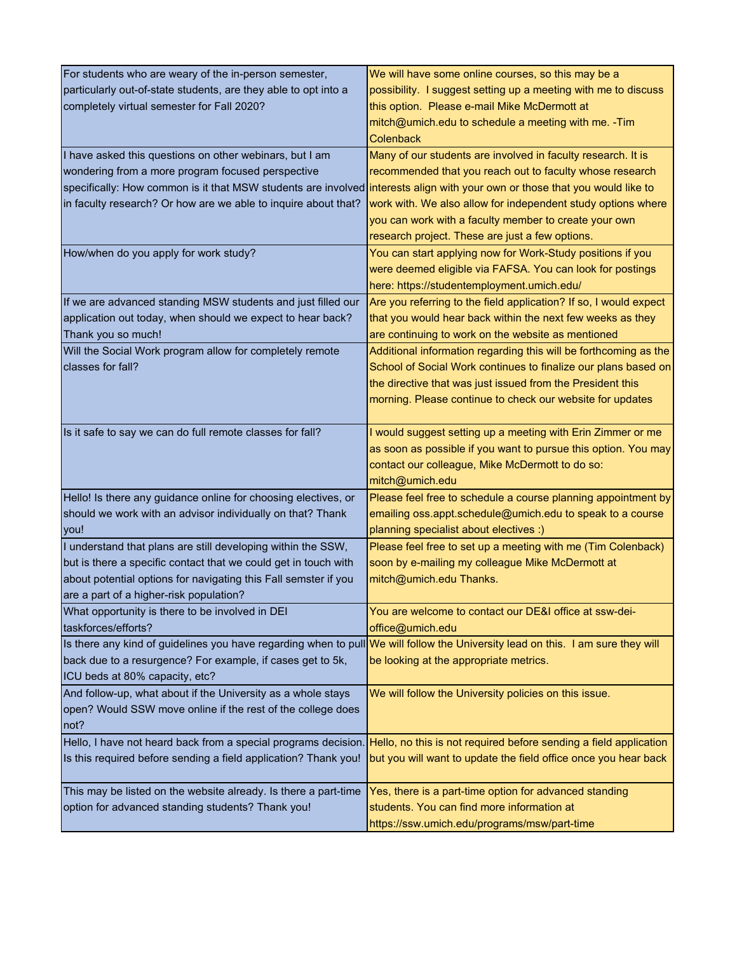| For students who are weary of the in-person semester,                                                                            | We will have some online courses, so this may be a                |
|----------------------------------------------------------------------------------------------------------------------------------|-------------------------------------------------------------------|
| particularly out-of-state students, are they able to opt into a                                                                  | possibility. I suggest setting up a meeting with me to discuss    |
| completely virtual semester for Fall 2020?                                                                                       | this option. Please e-mail Mike McDermott at                      |
|                                                                                                                                  | mitch@umich.edu to schedule a meeting with me. - Tim              |
|                                                                                                                                  | <b>Colenback</b>                                                  |
| I have asked this questions on other webinars, but I am                                                                          | Many of our students are involved in faculty research. It is      |
| wondering from a more program focused perspective                                                                                | recommended that you reach out to faculty whose research          |
| specifically: How common is it that MSW students are involved interests align with your own or those that you would like to      |                                                                   |
| in faculty research? Or how are we able to inquire about that?                                                                   | work with. We also allow for independent study options where      |
|                                                                                                                                  | you can work with a faculty member to create your own             |
|                                                                                                                                  | research project. These are just a few options.                   |
| How/when do you apply for work study?                                                                                            | You can start applying now for Work-Study positions if you        |
|                                                                                                                                  | were deemed eligible via FAFSA. You can look for postings         |
|                                                                                                                                  | here: https://studentemployment.umich.edu/                        |
| If we are advanced standing MSW students and just filled our                                                                     | Are you referring to the field application? If so, I would expect |
| application out today, when should we expect to hear back?                                                                       | that you would hear back within the next few weeks as they        |
| Thank you so much!                                                                                                               | are continuing to work on the website as mentioned                |
| Will the Social Work program allow for completely remote                                                                         | Additional information regarding this will be forthcoming as the  |
| classes for fall?                                                                                                                | School of Social Work continues to finalize our plans based on    |
|                                                                                                                                  | the directive that was just issued from the President this        |
|                                                                                                                                  |                                                                   |
|                                                                                                                                  | morning. Please continue to check our website for updates         |
| Is it safe to say we can do full remote classes for fall?                                                                        | I would suggest setting up a meeting with Erin Zimmer or me       |
|                                                                                                                                  | as soon as possible if you want to pursue this option. You may    |
|                                                                                                                                  | contact our colleague, Mike McDermott to do so:                   |
|                                                                                                                                  | mitch@umich.edu                                                   |
| Hello! Is there any guidance online for choosing electives, or                                                                   | Please feel free to schedule a course planning appointment by     |
| should we work with an advisor individually on that? Thank                                                                       | emailing oss.appt.schedule@umich.edu to speak to a course         |
| you!                                                                                                                             | planning specialist about electives :)                            |
| I understand that plans are still developing within the SSW,                                                                     | Please feel free to set up a meeting with me (Tim Colenback)      |
| but is there a specific contact that we could get in touch with                                                                  | soon by e-mailing my colleague Mike McDermott at                  |
| about potential options for navigating this Fall semster if you                                                                  | mitch@umich.edu Thanks.                                           |
| are a part of a higher-risk population?                                                                                          |                                                                   |
| What opportunity is there to be involved in DEI                                                                                  | You are welcome to contact our DE&I office at ssw-dei-            |
| taskforces/efforts?                                                                                                              | office@umich.edu                                                  |
| Is there any kind of guidelines you have regarding when to pull We will follow the University lead on this. I am sure they will  |                                                                   |
| back due to a resurgence? For example, if cases get to 5k,                                                                       | be looking at the appropriate metrics.                            |
| ICU beds at 80% capacity, etc?                                                                                                   |                                                                   |
| And follow-up, what about if the University as a whole stays                                                                     | We will follow the University policies on this issue.             |
| open? Would SSW move online if the rest of the college does                                                                      |                                                                   |
| not?                                                                                                                             |                                                                   |
| Hello, I have not heard back from a special programs decision. Hello, no this is not required before sending a field application |                                                                   |
| Is this required before sending a field application? Thank you!                                                                  | but you will want to update the field office once you hear back   |
|                                                                                                                                  |                                                                   |
| This may be listed on the website already. Is there a part-time                                                                  | Yes, there is a part-time option for advanced standing            |
| option for advanced standing students? Thank you!                                                                                | students. You can find more information at                        |
|                                                                                                                                  | https://ssw.umich.edu/programs/msw/part-time                      |
|                                                                                                                                  |                                                                   |